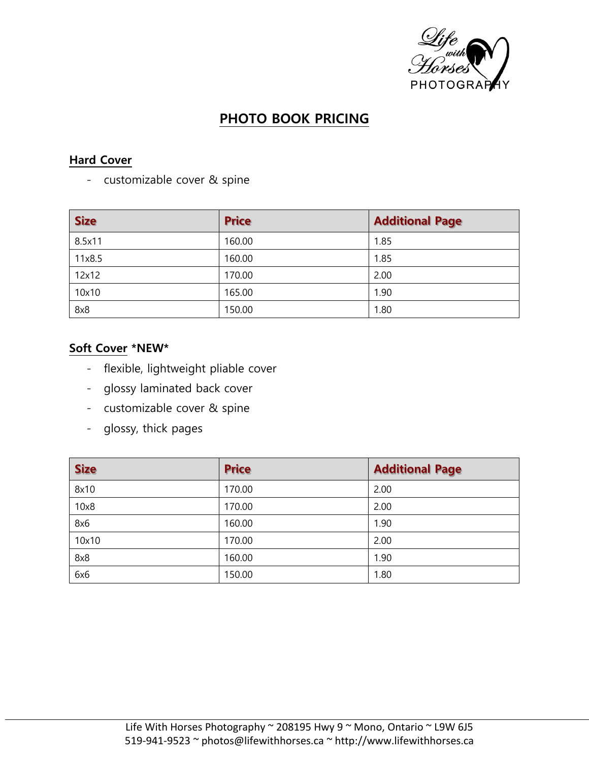

# **PHOTO BOOK PRICING**

### **Hard Cover**

- customizable cover & spine

| <b>Size</b> | <b>Price</b> | <b>Additional Page</b> |
|-------------|--------------|------------------------|
| 8.5x11      | 160.00       | 1.85                   |
| 11x8.5      | 160.00       | 1.85                   |
| 12x12       | 170.00       | 2.00                   |
| 10x10       | 165.00       | 1.90                   |
| 8x8         | 150.00       | 1.80                   |

## **Soft Cover \*NEW\***

- flexible, lightweight pliable cover
- glossy laminated back cover
- customizable cover & spine
- glossy, thick pages

| <b>Size</b> | <b>Price</b> | <b>Additional Page</b> |
|-------------|--------------|------------------------|
| 8x10        | 170.00       | 2.00                   |
| 10x8        | 170.00       | 2.00                   |
| 8x6         | 160.00       | 1.90                   |
| 10x10       | 170.00       | 2.00                   |
| 8x8         | 160.00       | 1.90                   |
| 6x6         | 150.00       | 1.80                   |